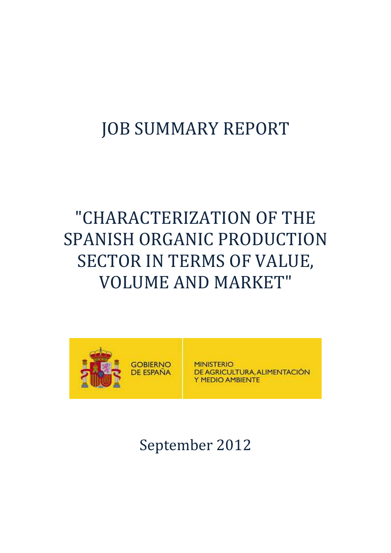## JOB SUMMARY REPORT

# "CHARACTERIZATION OF THE SPANISH ORGANIC PRODUCTION SECTOR IN TERMS OF VALUE, VOLUME AND MARKET"



## September 2012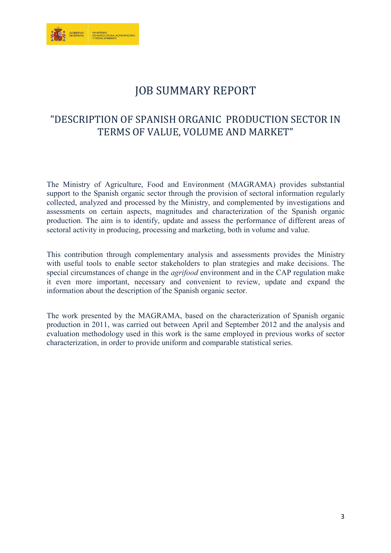

### JOB SUMMARY REPORT

### "DESCRIPTION OF SPANISH ORGANIC PRODUCTION SECTOR IN TERMS OF VALUE, VOLUME AND MARKET"

The Ministry of Agriculture, Food and Environment (MAGRAMA) provides substantial support to the Spanish organic sector through the provision of sectoral information regularly collected, analyzed and processed by the Ministry, and complemented by investigations and assessments on certain aspects, magnitudes and characterization of the Spanish organic production. The aim is to identify, update and assess the performance of different areas of sectoral activity in producing, processing and marketing, both in volume and value.

This contribution through complementary analysis and assessments provides the Ministry with useful tools to enable sector stakeholders to plan strategies and make decisions. The special circumstances of change in the *agrifood* environment and in the CAP regulation make it even more important, necessary and convenient to review, update and expand the information about the description of the Spanish organic sector.

The work presented by the MAGRAMA, based on the characterization of Spanish organic production in 2011, was carried out between April and September 2012 and the analysis and evaluation methodology used in this work is the same employed in previous works of sector characterization, in order to provide uniform and comparable statistical series.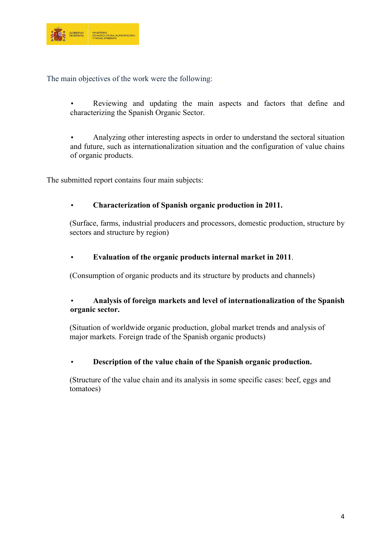

The main objectives of the work were the following:

• Reviewing and updating the main aspects and factors that define and characterizing the Spanish Organic Sector.

• Analyzing other interesting aspects in order to understand the sectoral situation and future, such as internationalization situation and the configuration of value chains of organic products.

The submitted report contains four main subjects:

#### • **Characterization of Spanish organic production in 2011.**

(Surface, farms, industrial producers and processors, domestic production, structure by sectors and structure by region)

#### • **Evaluation of the organic products internal market in 2011**.

(Consumption of organic products and its structure by products and channels)

#### • **Analysis of foreign markets and level of internationalization of the Spanish organic sector.**

(Situation of worldwide organic production, global market trends and analysis of major markets. Foreign trade of the Spanish organic products)

#### • **Description of the value chain of the Spanish organic production.**

(Structure of the value chain and its analysis in some specific cases: beef, eggs and tomatoes)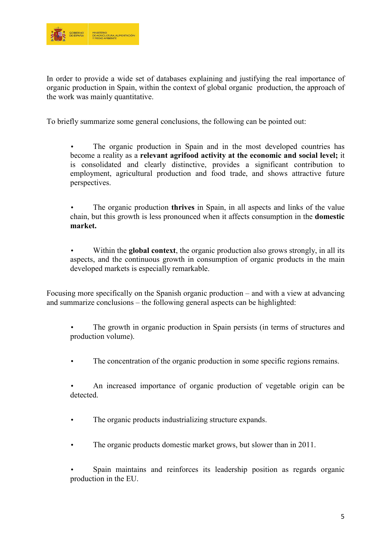

In order to provide a wide set of databases explaining and justifying the real importance of organic production in Spain, within the context of global organic production, the approach of the work was mainly quantitative.

To briefly summarize some general conclusions, the following can be pointed out:

- The organic production in Spain and in the most developed countries has become a reality as a **relevant agrifood activity at the economic and social level;** it is consolidated and clearly distinctive, provides a significant contribution to employment, agricultural production and food trade, and shows attractive future perspectives.
- The organic production **thrives** in Spain, in all aspects and links of the value chain, but this growth is less pronounced when it affects consumption in the **domestic market.**
- Within the **global context**, the organic production also grows strongly, in all its aspects, and the continuous growth in consumption of organic products in the main developed markets is especially remarkable.

Focusing more specifically on the Spanish organic production – and with a view at advancing and summarize conclusions – the following general aspects can be highlighted:

- The growth in organic production in Spain persists (in terms of structures and production volume).
- The concentration of the organic production in some specific regions remains.
- An increased importance of organic production of vegetable origin can be detected.
- The organic products industrializing structure expands.
- The organic products domestic market grows, but slower than in 2011.
- Spain maintains and reinforces its leadership position as regards organic production in the EU.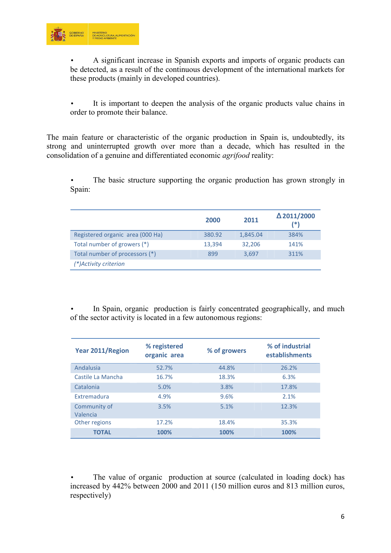

• A significant increase in Spanish exports and imports of organic products can be detected, as a result of the continuous development of the international markets for these products (mainly in developed countries).

It is important to deepen the analysis of the organic products value chains in order to promote their balance.

The main feature or characteristic of the organic production in Spain is, undoubtedly, its strong and uninterrupted growth over more than a decade, which has resulted in the consolidation of a genuine and differentiated economic *agrifood* reality:

• The basic structure supporting the organic production has grown strongly in Spain:

|                                  | 2000   | 2011     | $\Delta$ 2011/2000<br>(*) |
|----------------------------------|--------|----------|---------------------------|
| Registered organic area (000 Ha) | 380.92 | 1,845.04 | 384%                      |
| Total number of growers (*)      | 13,394 | 32,206   | 141%                      |
| Total number of processors (*)   | 899    | 3.697    | 311%                      |
| (*)Activity criterion            |        |          |                           |

In Spain, organic production is fairly concentrated geographically, and much of the sector activity is located in a few autonomous regions:

| <b>Year 2011/Region</b>  | % registered<br>organic area | % of growers | % of industrial<br>establishments |
|--------------------------|------------------------------|--------------|-----------------------------------|
| Andalusia                | 52.7%                        | 44.8%        | 26.2%                             |
| Castile La Mancha        | 16.7%                        | 18.3%        | 6.3%                              |
| Catalonia                | 5.0%                         | 3.8%         | 17.8%                             |
| Extremadura              | 4.9%                         | 9.6%         | 2.1%                              |
| Community of<br>Valencia | 3.5%                         | 5.1%         | 12.3%                             |
| Other regions            | 17.2%                        | 18.4%        | 35.3%                             |
| <b>TOTAL</b>             | 100%                         | 100%         | 100%                              |

The value of organic production at source (calculated in loading dock) has increased by 442% between 2000 and 2011 (150 million euros and 813 million euros, respectively)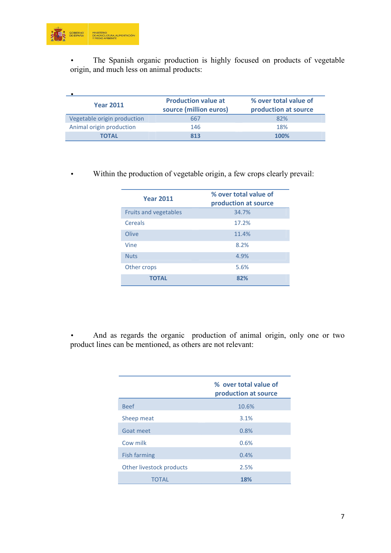

The Spanish organic production is highly focused on products of vegetable origin, and much less on animal products:

| <b>Year 2011</b>            | <b>Production value at</b><br>source (million euros) | % over total value of<br>production at source |
|-----------------------------|------------------------------------------------------|-----------------------------------------------|
| Vegetable origin production | 667                                                  | 82%                                           |
| Animal origin production    | 146                                                  | 18%                                           |
| <b>TOTAL</b>                | 813                                                  | 100%                                          |

• Within the production of vegetable origin, a few crops clearly prevail:

| <b>Year 2011</b>             | % over total value of<br>production at source |
|------------------------------|-----------------------------------------------|
| <b>Fruits and vegetables</b> | 34.7%                                         |
| Cereals                      | 17.2%                                         |
| Olive                        | 11.4%                                         |
| Vine                         | 8.2%                                          |
| <b>Nuts</b>                  | 4.9%                                          |
| Other crops                  | 5.6%                                          |
| <b>TOTAL</b>                 | 82%                                           |

• And as regards the organic production of animal origin, only one or two product lines can be mentioned, as others are not relevant:

|                          | % over total value of<br>production at source |
|--------------------------|-----------------------------------------------|
| <b>Beef</b>              | 10.6%                                         |
| Sheep meat               | 3.1%                                          |
| Goat meet                | 0.8%                                          |
| Cow milk                 | 0.6%                                          |
| <b>Fish farming</b>      | 0.4%                                          |
| Other livestock products | 2.5%                                          |
| TOTAL                    | 18%                                           |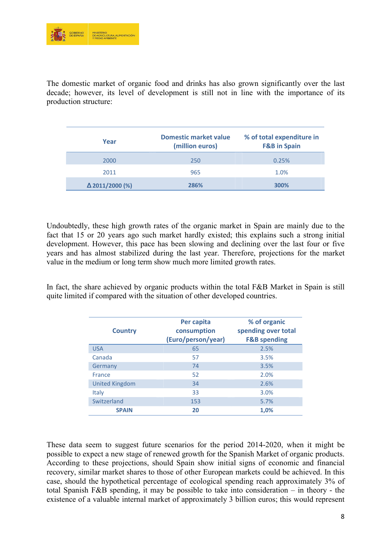

The domestic market of organic food and drinks has also grown significantly over the last decade; however, its level of development is still not in line with the importance of its production structure:

| Year                   | Domestic market value<br>(million euros) | % of total expenditure in<br><b>F&amp;B</b> in Spain |
|------------------------|------------------------------------------|------------------------------------------------------|
| 2000                   | 250                                      | 0.25%                                                |
| 2011                   | 965                                      | 1.0%                                                 |
| $\Delta$ 2011/2000 (%) | 286%                                     | 300%                                                 |

Undoubtedly, these high growth rates of the organic market in Spain are mainly due to the fact that 15 or 20 years ago such market hardly existed; this explains such a strong initial development. However, this pace has been slowing and declining over the last four or five years and has almost stabilized during the last year. Therefore, projections for the market value in the medium or long term show much more limited growth rates.

In fact, the share achieved by organic products within the total F&B Market in Spain is still quite limited if compared with the situation of other developed countries.

| <b>Country</b>        | Per capita<br>consumption<br>(Euro/person/year) | % of organic<br>spending over total<br><b>F&amp;B spending</b> |
|-----------------------|-------------------------------------------------|----------------------------------------------------------------|
| <b>USA</b>            | 65                                              | 2.5%                                                           |
| Canada                | 57                                              | 3.5%                                                           |
| Germany               | 74                                              | 3.5%                                                           |
| France                | 52                                              | 2.0%                                                           |
| <b>United Kingdom</b> | 34                                              | 2.6%                                                           |
| <b>Italy</b>          | 33                                              | 3.0%                                                           |
| Switzerland           | 153                                             | 5.7%                                                           |
| <b>SPAIN</b>          | 20                                              | 1,0%                                                           |

These data seem to suggest future scenarios for the period 2014-2020, when it might be possible to expect a new stage of renewed growth for the Spanish Market of organic products. According to these projections, should Spain show initial signs of economic and financial recovery, similar market shares to those of other European markets could be achieved. In this case, should the hypothetical percentage of ecological spending reach approximately 3% of total Spanish F&B spending, it may be possible to take into consideration – in theory - the existence of a valuable internal market of approximately 3 billion euros; this would represent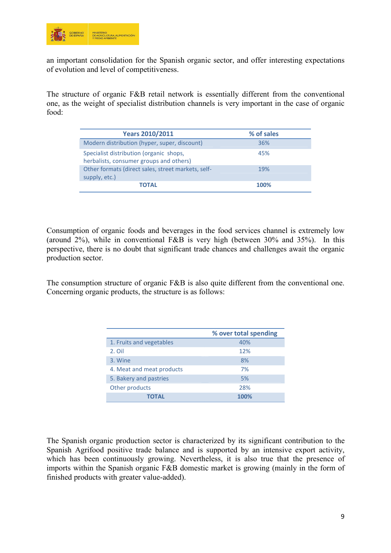

an important consolidation for the Spanish organic sector, and offer interesting expectations of evolution and level of competitiveness.

The structure of organic F&B retail network is essentially different from the conventional one, as the weight of specialist distribution channels is very important in the case of organic food:

| <b>Years 2010/2011</b>                                                             | % of sales |
|------------------------------------------------------------------------------------|------------|
| Modern distribution (hyper, super, discount)                                       | 36%        |
| Specialist distribution (organic shops,<br>herbalists, consumer groups and others) | 45%        |
| Other formats (direct sales, street markets, self-<br>supply, etc.)                | 19%        |
| <b>TOTAL</b>                                                                       | 100%       |

Consumption of organic foods and beverages in the food services channel is extremely low (around 2%), while in conventional F&B is very high (between 30% and 35%). In this perspective, there is no doubt that significant trade chances and challenges await the organic production sector.

The consumption structure of organic F&B is also quite different from the conventional one. Concerning organic products, the structure is as follows:

|                           | % over total spending |
|---------------------------|-----------------------|
| 1. Fruits and vegetables  | 40%                   |
| 2. Oil                    | 12%                   |
| 3. Wine                   | 8%                    |
| 4. Meat and meat products | 7%                    |
| 5. Bakery and pastries    | 5%                    |
| Other products            | 28%                   |
| <b>TOTAL</b>              | 100%                  |

The Spanish organic production sector is characterized by its significant contribution to the Spanish Agrifood positive trade balance and is supported by an intensive export activity, which has been continuously growing. Nevertheless, it is also true that the presence of imports within the Spanish organic F&B domestic market is growing (mainly in the form of finished products with greater value-added).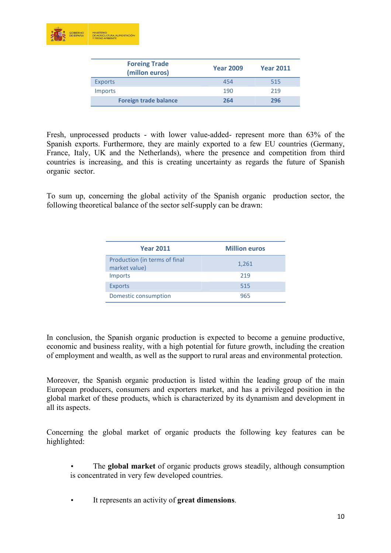

| <b>Foreing Trade</b><br>(millon euros) | <b>Year 2009</b> | <b>Year 2011</b> |
|----------------------------------------|------------------|------------------|
| <b>Exports</b>                         | 454              | 515              |
| <b>Imports</b>                         | 190              | 219              |
| <b>Foreign trade balance</b>           | 264              | 296              |

Fresh, unprocessed products - with lower value-added- represent more than 63% of the Spanish exports. Furthermore, they are mainly exported to a few EU countries (Germany, France, Italy, UK and the Netherlands), where the presence and competition from third countries is increasing, and this is creating uncertainty as regards the future of Spanish organic sector.

To sum up, concerning the global activity of the Spanish organic production sector, the following theoretical balance of the sector self-supply can be drawn:

| <b>Year 2011</b>                               | <b>Million euros</b> |
|------------------------------------------------|----------------------|
| Production (in terms of final<br>market value) | 1,261                |
| <b>Imports</b>                                 | 219                  |
| <b>Exports</b>                                 | 515                  |
| Domestic consumption                           | 965                  |

In conclusion, the Spanish organic production is expected to become a genuine productive, economic and business reality, with a high potential for future growth, including the creation of employment and wealth, as well as the support to rural areas and environmental protection.

Moreover, the Spanish organic production is listed within the leading group of the main European producers, consumers and exporters market, and has a privileged position in the global market of these products, which is characterized by its dynamism and development in all its aspects.

Concerning the global market of organic products the following key features can be highlighted:

- The **global market** of organic products grows steadily, although consumption is concentrated in very few developed countries.
- It represents an activity of **great dimensions**.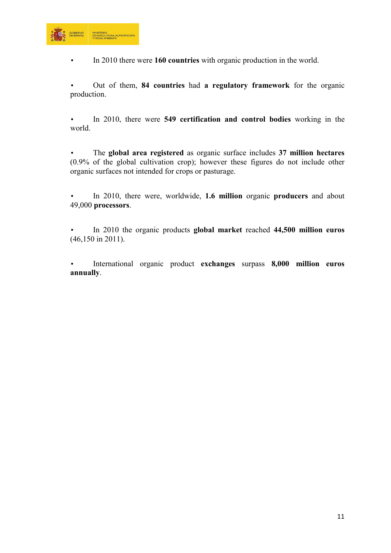

• In 2010 there were **160 countries** with organic production in the world.

• Out of them, **84 countries** had **a regulatory framework** for the organic production.

• In 2010, there were **549 certification and control bodies** working in the world.

• The **global area registered** as organic surface includes **37 million hectares**  (0.9% of the global cultivation crop); however these figures do not include other organic surfaces not intended for crops or pasturage.

• In 2010, there were, worldwide, **1.6 million** organic **producers** and about 49,000 **processors**.

• In 2010 the organic products **global market** reached **44,500 million euros** (46,150 in 2011).

• International organic product **exchanges** surpass **8,000 million euros annually**.